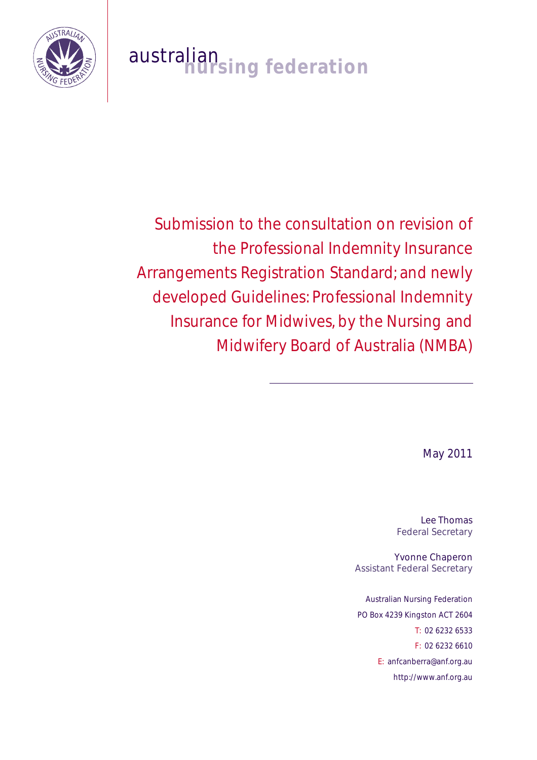

# australian<br>**nursing federation**

Submission to the consultation on revision of the Professional Indemnity Insurance Arrangements Registration Standard; and newly developed Guidelines: Professional Indemnity Insurance for Midwives, by the Nursing and Midwifery Board of Australia (NMBA)

May 2011

Lee Thomas Federal Secretary

Yvonne Chaperon Assistant Federal Secretary

Australian Nursing Federation PO Box 4239 Kingston ACT 2604 T: 02 6232 6533 F: 02 6232 6610 E: anfcanberra@anf.org.au http://www.anf.org.au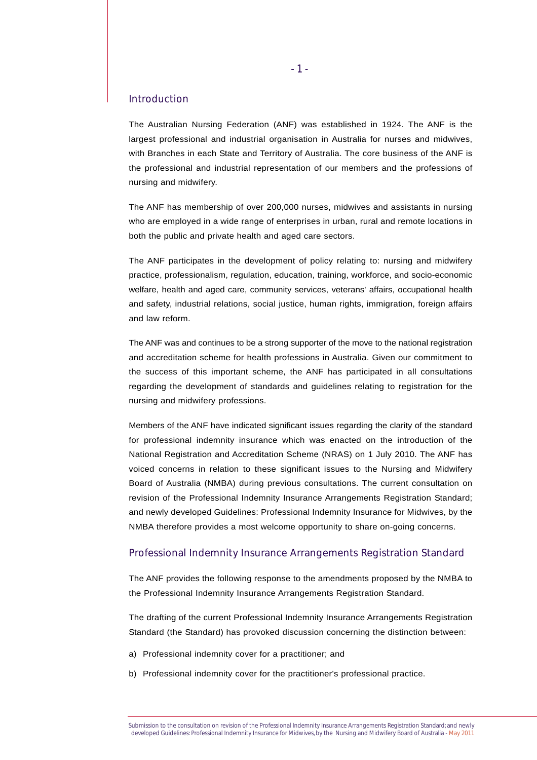## Introduction

The Australian Nursing Federation (ANF) was established in 1924. The ANF is the largest professional and industrial organisation in Australia for nurses and midwives, with Branches in each State and Territory of Australia. The core business of the ANF is the professional and industrial representation of our members and the professions of nursing and midwifery.

The ANF has membership of over 200,000 nurses, midwives and assistants in nursing who are employed in a wide range of enterprises in urban, rural and remote locations in both the public and private health and aged care sectors.

The ANF participates in the development of policy relating to: nursing and midwifery practice, professionalism, regulation, education, training, workforce, and socio-economic welfare, health and aged care, community services, veterans' affairs, occupational health and safety, industrial relations, social justice, human rights, immigration, foreign affairs and law reform.

The ANF was and continues to be a strong supporter of the move to the national registration and accreditation scheme for health professions in Australia. Given our commitment to the success of this important scheme, the ANF has participated in all consultations regarding the development of standards and guidelines relating to registration for the nursing and midwifery professions.

Members of the ANF have indicated significant issues regarding the clarity of the standard for professional indemnity insurance which was enacted on the introduction of the National Registration and Accreditation Scheme (NRAS) on 1 July 2010. The ANF has voiced concerns in relation to these significant issues to the Nursing and Midwifery Board of Australia (NMBA) during previous consultations. The current consultation on revision of the Professional Indemnity Insurance Arrangements Registration Standard; and newly developed Guidelines: Professional Indemnity Insurance for Midwives, by the NMBA therefore provides a most welcome opportunity to share on-going concerns.

## Professional Indemnity Insurance Arrangements Registration Standard

The ANF provides the following response to the amendments proposed by the NMBA to the Professional Indemnity Insurance Arrangements Registration Standard.

The drafting of the current Professional Indemnity Insurance Arrangements Registration Standard (the Standard) has provoked discussion concerning the distinction between:

- a) Professional indemnity cover for a practitioner; and
- b) Professional indemnity cover for the practitioner's professional practice.

Submission to the consultation on revision of the Professional Indemnity Insurance Arrangements Registration Standard; and newly developed Guidelines: Professional Indemnity Insurance for Midwives, by the Nursing and Midwifery Board of Australia - May 2011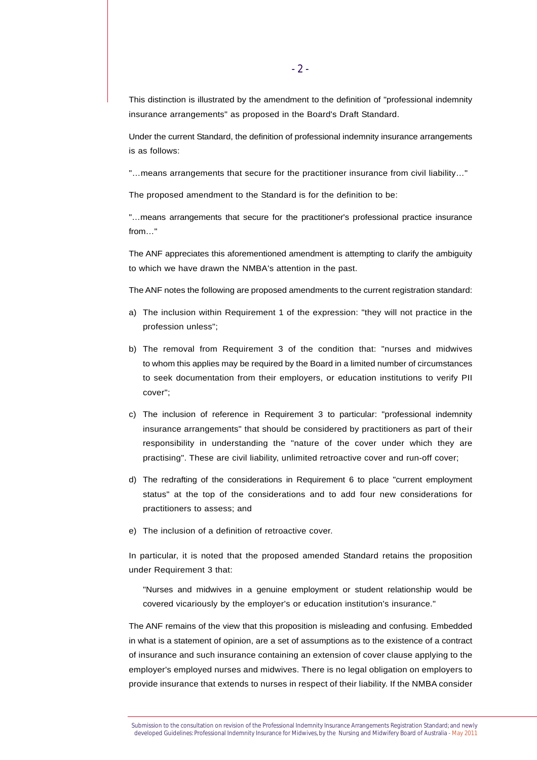This distinction is illustrated by the amendment to the definition of "professional indemnity insurance arrangements" as proposed in the Board's Draft Standard.

Under the current Standard, the definition of professional indemnity insurance arrangements is as follows:

"...means arrangements that secure for the practitioner insurance from civil liability..."

The proposed amendment to the Standard is for the definition to be:

"…means arrangements that secure for the practitioner's professional practice insurance from…"

The ANF appreciates this aforementioned amendment is attempting to clarify the ambiguity to which we have drawn the NMBA's attention in the past.

The ANF notes the following are proposed amendments to the current registration standard:

- a) The inclusion within Requirement 1 of the expression: "they will not practice in the profession unless";
- b) The removal from Requirement 3 of the condition that: "nurses and midwives to whom this applies may be required by the Board in a limited number of circumstances to seek documentation from their employers, or education institutions to verify PII cover";
- c) The inclusion of reference in Requirement 3 to particular: "professional indemnity insurance arrangements" that should be considered by practitioners as part of their responsibility in understanding the "nature of the cover under which they are practising". These are civil liability, unlimited retroactive cover and run-off cover;
- d) The redrafting of the considerations in Requirement 6 to place "current employment status" at the top of the considerations and to add four new considerations for practitioners to assess; and
- e) The inclusion of a definition of retroactive cover.

In particular, it is noted that the proposed amended Standard retains the proposition under Requirement 3 that:

"Nurses and midwives in a genuine employment or student relationship would be covered vicariously by the employer's or education institution's insurance."

The ANF remains of the view that this proposition is misleading and confusing. Embedded in what is a statement of opinion, are a set of assumptions as to the existence of a contract of insurance and such insurance containing an extension of cover clause applying to the employer's employed nurses and midwives. There is no legal obligation on employers to provide insurance that extends to nurses in respect of their liability. If the NMBA consider

Submission to the consultation on revision of the Professional Indemnity Insurance Arrangements Registration Standard; and newly developed Guidelines: Professional Indemnity Insurance for Midwives, by the Nursing and Midwifery Board of Australia - May 2011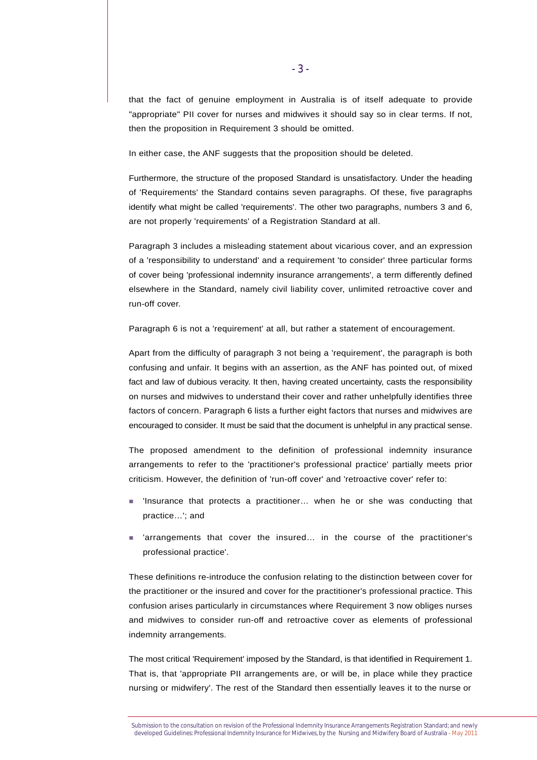that the fact of genuine employment in Australia is of itself adequate to provide "appropriate" PII cover for nurses and midwives it should say so in clear terms. If not, then the proposition in Requirement 3 should be omitted.

In either case, the ANF suggests that the proposition should be deleted.

Furthermore, the structure of the proposed Standard is unsatisfactory. Under the heading of 'Requirements' the Standard contains seven paragraphs. Of these, five paragraphs identify what might be called 'requirements'. The other two paragraphs, numbers 3 and 6, are not properly 'requirements' of a Registration Standard at all.

Paragraph 3 includes a misleading statement about vicarious cover, and an expression of a 'responsibility to understand' and a requirement 'to consider' three particular forms of cover being 'professional indemnity insurance arrangements', a term differently defined elsewhere in the Standard, namely civil liability cover, unlimited retroactive cover and run-off cover.

Paragraph 6 is not a 'requirement' at all, but rather a statement of encouragement.

Apart from the difficulty of paragraph 3 not being a 'requirement', the paragraph is both confusing and unfair. It begins with an assertion, as the ANF has pointed out, of mixed fact and law of dubious veracity. It then, having created uncertainty, casts the responsibility on nurses and midwives to understand their cover and rather unhelpfully identifies three factors of concern. Paragraph 6 lists a further eight factors that nurses and midwives are encouraged to consider. It must be said that the document is unhelpful in any practical sense.

The proposed amendment to the definition of professional indemnity insurance arrangements to refer to the 'practitioner's professional practice' partially meets prior criticism. However, the definition of 'run-off cover' and 'retroactive cover' refer to:

- 'Insurance that protects a practitioner... when he or she was conducting that practice…'; and
- ! 'arrangements that cover the insured… in the course of the practitioner's professional practice'.

These definitions re-introduce the confusion relating to the distinction between cover for the practitioner or the insured and cover for the practitioner's professional practice. This confusion arises particularly in circumstances where Requirement 3 now obliges nurses and midwives to consider run-off and retroactive cover as elements of professional indemnity arrangements.

The most critical 'Requirement' imposed by the Standard, is that identified in Requirement 1. That is, that 'appropriate PII arrangements are, or will be, in place while they practice nursing or midwifery'. The rest of the Standard then essentially leaves it to the nurse or

Submission to the consultation on revision of the Professional Indemnity Insurance Arrangements Registration Standard; and newly developed Guidelines: Professional Indemnity Insurance for Midwives, by the Nursing and Midwifery Board of Australia - May 2011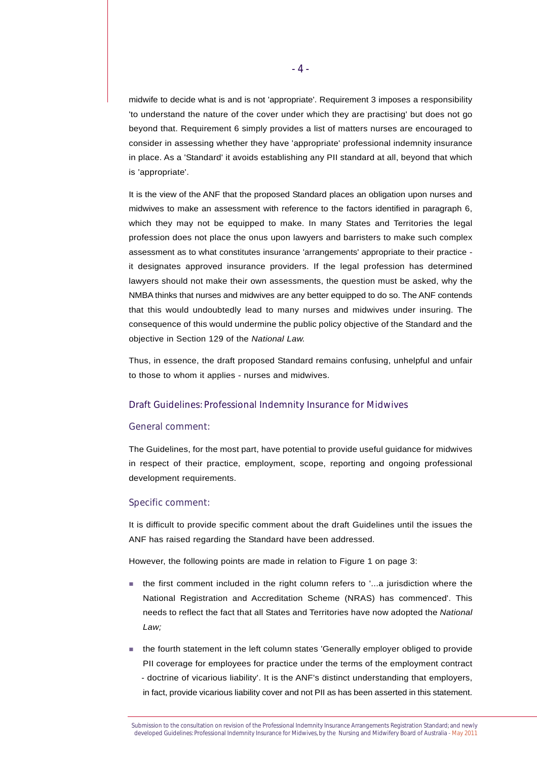midwife to decide what is and is not 'appropriate'. Requirement 3 imposes a responsibility 'to understand the nature of the cover under which they are practising' but does not go beyond that. Requirement 6 simply provides a list of matters nurses are encouraged to consider in assessing whether they have 'appropriate' professional indemnity insurance in place. As a 'Standard' it avoids establishing any PII standard at all, beyond that which is 'appropriate'.

It is the view of the ANF that the proposed Standard places an obligation upon nurses and midwives to make an assessment with reference to the factors identified in paragraph 6, which they may not be equipped to make. In many States and Territories the legal profession does not place the onus upon lawyers and barristers to make such complex assessment as to what constitutes insurance 'arrangements' appropriate to their practice it designates approved insurance providers. If the legal profession has determined lawyers should not make their own assessments, the question must be asked, why the NMBA thinks that nurses and midwives are any better equipped to do so. The ANF contends that this would undoubtedly lead to many nurses and midwives under insuring. The consequence of this would undermine the public policy objective of the Standard and the objective in Section 129 of the *National Law.*

Thus, in essence, the draft proposed Standard remains confusing, unhelpful and unfair to those to whom it applies - nurses and midwives.

#### Draft Guidelines: Professional Indemnity Insurance for Midwives

#### General comment:

The Guidelines, for the most part, have potential to provide useful guidance for midwives in respect of their practice, employment, scope, reporting and ongoing professional development requirements.

#### Specific comment:

It is difficult to provide specific comment about the draft Guidelines until the issues the ANF has raised regarding the Standard have been addressed.

However, the following points are made in relation to Figure 1 on page 3:

- ! the first comment included in the right column refers to '...a jurisdiction where the National Registration and Accreditation Scheme (NRAS) has commenced'. This needs to reflect the fact that all States and Territories have now adopted the *National Law;*
- ! the fourth statement in the left column states 'Generally employer obliged to provide PII coverage for employees for practice under the terms of the employment contract - doctrine of vicarious liability'. It is the ANF's distinct understanding that employers, in fact, provide vicarious liability cover and not PII as has been asserted in this statement.

Submission to the consultation on revision of the Professional Indemnity Insurance Arrangements Registration Standard; and newly developed Guidelines: Professional Indemnity Insurance for Midwives, by the Nursing and Midwifery Board of Australia - May 2011